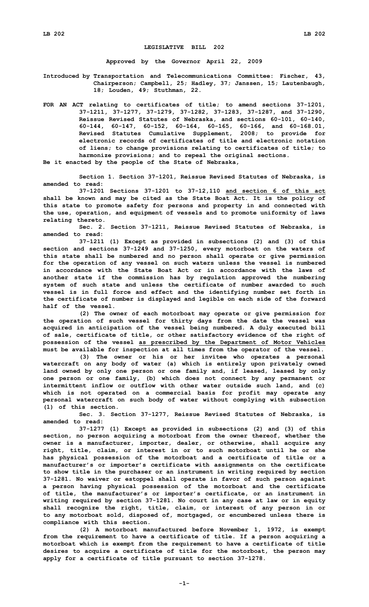## **LEGISLATIVE BILL 202**

**Approved by the Governor April 22, 2009**

**Introduced by Transportation and Telecommunications Committee: Fischer, 43, Chairperson; Campbell, 25; Hadley, 37; Janssen, 15; Lautenbaugh, 18; Louden, 49; Stuthman, 22.**

**FOR AN ACT relating to certificates of title; to amend sections 37-1201, 37-1211, 37-1277, 37-1279, 37-1282, 37-1283, 37-1287, and 37-1290, Reissue Revised Statutes of Nebraska, and sections 60-101, 60-140, 60-144, 60-147, 60-152, 60-164, 60-165, 60-166, and 60-168.01, Revised Statutes Cumulative Supplement, 2008; to provide for electronic records of certificates of title and electronic notation of liens; to change provisions relating to certificates of title; to harmonize provisions; and to repeal the original sections.**

**Be it enacted by the people of the State of Nebraska,**

**Section 1. Section 37-1201, Reissue Revised Statutes of Nebraska, is amended to read:**

**37-1201 Sections 37-1201 to 37-12,110 and section 6 of this act shall be known and may be cited as the State Boat Act. It is the policy of this state to promote safety for persons and property in and connected with the use, operation, and equipment of vessels and to promote uniformity of laws relating thereto.**

**Sec. 2. Section 37-1211, Reissue Revised Statutes of Nebraska, is amended to read:**

**37-1211 (1) Except as provided in subsections (2) and (3) of this section and sections 37-1249 and 37-1250, every motorboat on the waters of this state shall be numbered and no person shall operate or give permission for the operation of any vessel on such waters unless the vessel is numbered in accordance with the State Boat Act or in accordance with the laws of another state if the commission has by regulation approved the numbering system of such state and unless the certificate of number awarded to such vessel is in full force and effect and the identifying number set forth in the certificate of number is displayed and legible on each side of the forward half of the vessel.**

**(2) The owner of each motorboat may operate or give permission for the operation of such vessel for thirty days from the date the vessel was acquired in anticipation of the vessel being numbered. A duly executed bill of sale, certificate of title, or other satisfactory evidence of the right of possession of the vessel as prescribed by the Department of Motor Vehicles must be available for inspection at all times from the operator of the vessel.**

**(3) The owner or his or her invitee who operates <sup>a</sup> personal watercraft on any body of water (a) which is entirely upon privately owned land owned by only one person or one family and, if leased, leased by only one person or one family, (b) which does not connect by any permanent or intermittent inflow or outflow with other water outside such land, and (c) which is not operated on <sup>a</sup> commercial basis for profit may operate any personal watercraft on such body of water without complying with subsection (1) of this section.**

**Sec. 3. Section 37-1277, Reissue Revised Statutes of Nebraska, is amended to read:**

**37-1277 (1) Except as provided in subsections (2) and (3) of this section, no person acquiring <sup>a</sup> motorboat from the owner thereof, whether the owner is <sup>a</sup> manufacturer, importer, dealer, or otherwise, shall acquire any right, title, claim, or interest in or to such motorboat until he or she has physical possession of the motorboat and <sup>a</sup> certificate of title or <sup>a</sup> manufacturer's or importer's certificate with assignments on the certificate to show title in the purchaser or an instrument in writing required by section 37-1281. No waiver or estoppel shall operate in favor of such person against <sup>a</sup> person having physical possession of the motorboat and the certificate of title, the manufacturer's or importer's certificate, or an instrument in writing required by section 37-1281. No court in any case at law or in equity shall recognize the right, title, claim, or interest of any person in or to any motorboat sold, disposed of, mortgaged, or encumbered unless there is compliance with this section.**

**(2) <sup>A</sup> motorboat manufactured before November 1, 1972, is exempt from the requirement to have <sup>a</sup> certificate of title. If <sup>a</sup> person acquiring <sup>a</sup> motorboat which is exempt from the requirement to have <sup>a</sup> certificate of title desires to acquire <sup>a</sup> certificate of title for the motorboat, the person may apply for <sup>a</sup> certificate of title pursuant to section 37-1278.**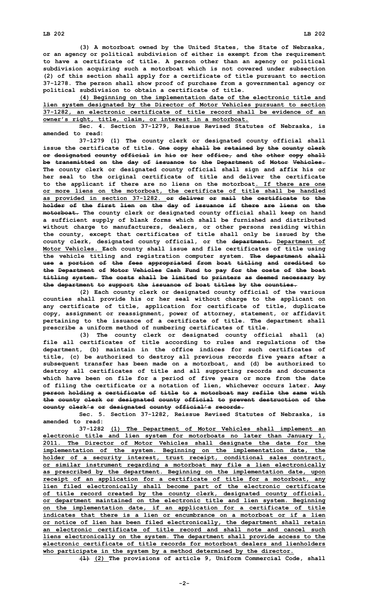**(3) <sup>A</sup> motorboat owned by the United States, the State of Nebraska, or an agency or political subdivision of either is exempt from the requirement to have <sup>a</sup> certificate of title. A person other than an agency or political subdivision acquiring such <sup>a</sup> motorboat which is not covered under subsection (2) of this section shall apply for <sup>a</sup> certificate of title pursuant to section 37-1278. The person shall show proof of purchase from <sup>a</sup> governmental agency or political subdivision to obtain <sup>a</sup> certificate of title.**

**(4) Beginning on the implementation date of the electronic title and lien system designated by the Director of Motor Vehicles pursuant to section 37-1282, an electronic certificate of title record shall be evidence of an owner's right, title, claim, or interest in <sup>a</sup> motorboat.**

**Sec. 4. Section 37-1279, Reissue Revised Statutes of Nebraska, is amended to read:**

**37-1279 (1) The county clerk or designated county official shall issue the certificate of title. One copy shall be retained by the county clerk or designated county official in his or her office, and the other copy shall be transmitted on the day of issuance to the Department of Motor Vehicles. The county clerk or designated county official shall sign and affix his or her seal to the original certificate of title and deliver the certificate to the applicant if there are no liens on the motorboat. If there are one or more liens on the motorboat, the certificate of title shall be handled as provided in section 37-1282. or deliver or mail the certificate to the holder of the first lien on the day of issuance if there are liens on the motorboat. The county clerk or designated county official shall keep on hand <sup>a</sup> sufficient supply of blank forms which shall be furnished and distributed without charge to manufacturers, dealers, or other persons residing within the county, except that certificates of title shall only be issued by the county clerk, designated county official, or the department. Department of Motor Vehicles. Each county shall issue and file certificates of title using the vehicle titling and registration computer system. The department shall use <sup>a</sup> portion of the fees appropriated from boat titling and credited to the Department of Motor Vehicles Cash Fund to pay for the costs of the boat titling system. The costs shall be limited to printers as deemed necessary by the department to support the issuance of boat titles by the counties.**

**(2) Each county clerk or designated county official of the various counties shall provide his or her seal without charge to the applicant on any certificate of title, application for certificate of title, duplicate copy, assignment or reassignment, power of attorney, statement, or affidavit pertaining to the issuance of <sup>a</sup> certificate of title. The department shall prescribe <sup>a</sup> uniform method of numbering certificates of title.**

**(3) The county clerk or designated county official shall (a) file all certificates of title according to rules and regulations of the department, (b) maintain in the office indices for such certificates of title, (c) be authorized to destroy all previous records five years after <sup>a</sup> subsequent transfer has been made on <sup>a</sup> motorboat, and (d) be authorized to destroy all certificates of title and all supporting records and documents which have been on file for <sup>a</sup> period of five years or more from the date of filing the certificate or <sup>a</sup> notation of lien, whichever occurs later. Any person holding <sup>a</sup> certificate of title to <sup>a</sup> motorboat may refile the same with the county clerk or designated county official to prevent destruction of the county clerk's or designated county official's records.**

**Sec. 5. Section 37-1282, Reissue Revised Statutes of Nebraska, is amended to read:**

**37-1282 (1) The Department of Motor Vehicles shall implement an electronic title and lien system for motorboats no later than January 1, 2011. The Director of Motor Vehicles shall designate the date for the implementation of the system. Beginning on the implementation date, the holder of <sup>a</sup> security interest, trust receipt, conditional sales contract, or similar instrument regarding <sup>a</sup> motorboat may file <sup>a</sup> lien electronically as prescribed by the department. Beginning on the implementation date, upon receipt of an application for <sup>a</sup> certificate of title for <sup>a</sup> motorboat, any lien filed electronically shall become part of the electronic certificate of title record created by the county clerk, designated county official, or department maintained on the electronic title and lien system. Beginning on the implementation date, if an application for <sup>a</sup> certificate of title indicates that there is a lien or encumbrance on a motorboat or if a lien or notice of lien has been filed electronically, the department shall retain an electronic certificate of title record and shall note and cancel such liens electronically on the system. The department shall provide access to the electronic certificate of title records for motorboat dealers and lienholders who participate in the system by <sup>a</sup> method determined by the director.**

**(1) (2) The provisions of article 9, Uniform Commercial Code, shall**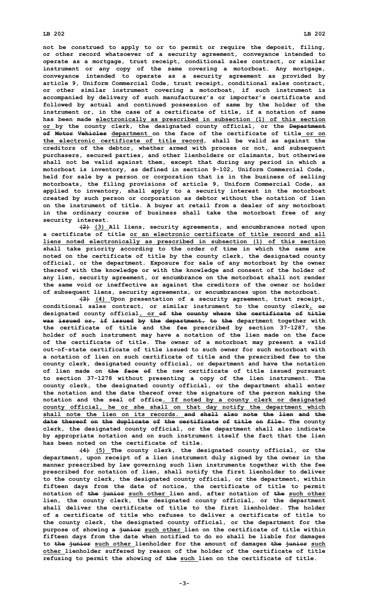## **LB 202 LB 202**

**not be construed to apply to or to permit or require the deposit, filing, or other record whatsoever of <sup>a</sup> security agreement, conveyance intended to operate as <sup>a</sup> mortgage, trust receipt, conditional sales contract, or similar instrument or any copy of the same covering <sup>a</sup> motorboat. Any mortgage, conveyance intended to operate as <sup>a</sup> security agreement as provided by article 9, Uniform Commercial Code, trust receipt, conditional sales contract, or other similar instrument covering <sup>a</sup> motorboat, if such instrument is accompanied by delivery of such manufacturer's or importer's certificate and followed by actual and continued possession of same by the holder of the instrument or, in the case of <sup>a</sup> certificate of title, if <sup>a</sup> notation of same has been made electronically as prescribed in subsection (1) of this section or by the county clerk, the designated county official, or the Department of Motor Vehicles department on the face of the certificate of title or on the electronic certificate of title record, shall be valid as against the creditors of the debtor, whether armed with process or not, and subsequent purchasers, secured parties, and other lienholders or claimants, but otherwise shall not be valid against them, except that during any period in which <sup>a</sup> motorboat is inventory, as defined in section 9-102, Uniform Commercial Code, held for sale by <sup>a</sup> person or corporation that is in the business of selling motorboats, the filing provisions of article 9, Uniform Commercial Code, as applied to inventory, shall apply to <sup>a</sup> security interest in the motorboat created by such person or corporation as debtor without the notation of lien on the instrument of title. A buyer at retail from <sup>a</sup> dealer of any motorboat in the ordinary course of business shall take the motorboat free of any security interest.**

**(2) (3) All liens, security agreements, and encumbrances noted upon a certificate of title or an electronic certificate of title record and all liens noted electronically as prescribed in subsection (1) of this section shall take priority according to the order of time in which the same are noted on the certificate of title by the county clerk, the designated county official, or the department. Exposure for sale of any motorboat by the owner thereof with the knowledge or with the knowledge and consent of the holder of any lien, security agreement, or encumbrance on the motorboat shall not render the same void or ineffective as against the creditors of the owner or holder of subsequent liens, security agreements, or encumbrances upon the motorboat.**

**(3) (4) Upon presentation of <sup>a</sup> security agreement, trust receipt, conditional sales contract, or similar instrument to the county clerk, or designated county official, or of the county where the certificate of title was issued or, if issued by the department, to the department together with the certificate of title and the fee prescribed by section 37-1287, the holder of such instrument may have <sup>a</sup> notation of the lien made on the face of the certificate of title. The owner of <sup>a</sup> motorboat may present <sup>a</sup> valid out-of-state certificate of title issued to such owner for such motorboat with <sup>a</sup> notation of lien on such certificate of title and the prescribed fee to the county clerk, designated county official, or department and have the notation of lien made on the face of the new certificate of title issued pursuant to section 37-1278 without presenting <sup>a</sup> copy of the lien instrument. The county clerk, the designated county official, or the department shall enter the notation and the date thereof over the signature of the person making the notation and the seal of office. If noted by <sup>a</sup> county clerk or designated county official, he or she shall on that day notify the department which shall note the lien on its records. and shall also note the lien and the date thereof on the duplicate of the certificate of title on file. The county clerk, the designated county official, or the department shall also indicate by appropriate notation and on such instrument itself the fact that the lien has been noted on the certificate of title.**

**(4) (5) The county clerk, the designated county official, or the department, upon receipt of <sup>a</sup> lien instrument duly signed by the owner in the manner prescribed by law governing such lien instruments together with the fee prescribed for notation of lien, shall notify the first lienholder to deliver to the county clerk, the designated county official, or the department, within fifteen days from the date of notice, the certificate of title to permit notation of the junior such other lien and, after notation of the such other lien, the county clerk, the designated county official, or the department shall deliver the certificate of title to the first lienholder. The holder of a certificate of title who refuses to deliver a certificate of title to the county clerk, the designated county official, or the department for the purpose of showing <sup>a</sup> junior such other lien on the certificate of title within fifteen days from the date when notified to do so shall be liable for damages to the junior such other lienholder for the amount of damages the junior such other lienholder suffered by reason of the holder of the certificate of title refusing to permit the showing of the such lien on the certificate of title.**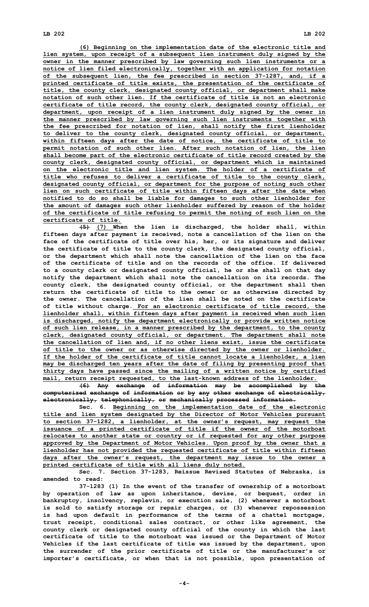**(6) Beginning on the implementation date of the electronic title and lien system, upon receipt of <sup>a</sup> subsequent lien instrument duly signed by the owner in the manner prescribed by law governing such lien instruments or <sup>a</sup> notice of lien filed electronically, together with an application for notation of the subsequent lien, the fee prescribed in section 37-1287, and, if <sup>a</sup> printed certificate of title exists, the presentation of the certificate of title, the county clerk, designated county official, or department shall make notation of such other lien. If the certificate of title is not an electronic certificate of title record, the county clerk, designated county official, or department, upon receipt of <sup>a</sup> lien instrument duly signed by the owner in the manner prescribed by law governing such lien instruments together with the fee prescribed for notation of lien, shall notify the first lienholder to deliver to the county clerk, designated county official, or department, within fifteen days after the date of notice, the certificate of title to permit notation of such other lien. After such notation of lien, the lien shall become part of the electronic certificate of title record created by the county clerk, designated county official, or department which is maintained on the electronic title and lien system. The holder of <sup>a</sup> certificate of title who refuses to deliver <sup>a</sup> certificate of title to the county clerk, designated county official, or department for the purpose of noting such other lien on such certificate of title within fifteen days after the date when notified to do so shall be liable for damages to such other lienholder for the amount of damages such other lienholder suffered by reason of the holder of the certificate of title refusing to permit the noting of such lien on the certificate of title.**

**(5) (7) When the lien is discharged, the holder shall, within fifteen days after payment is received, note <sup>a</sup> cancellation of the lien on the face of the certificate of title over his, her, or its signature and deliver the certificate of title to the county clerk, the designated county official, or the department which shall note the cancellation of the lien on the face of the certificate of title and on the records of the office. If delivered to <sup>a</sup> county clerk or designated county official, he or she shall on that day notify the department which shall note the cancellation on its records. The county clerk, the designated county official, or the department shall then return the certificate of title to the owner or as otherwise directed by the owner. The cancellation of the lien shall be noted on the certificate of title without charge. For an electronic certificate of title record, the lienholder shall, within fifteen days after payment is received when such lien is discharged, notify the department electronically or provide written notice of such lien release, in <sup>a</sup> manner prescribed by the department, to the county clerk, designated county official, or department. The department shall note the cancellation of lien and, if no other liens exist, issue the certificate of title to the owner or as otherwise directed by the owner or lienholder. If the holder of the certificate of title cannot locate <sup>a</sup> lienholder, <sup>a</sup> lien may be discharged ten years after the date of filing by presenting proof that thirty days have passed since the mailing of <sup>a</sup> written notice by certified mail, return receipt requested, to the last-known address of the lienholder.**

**(6) Any exchange of information may be accomplished by the computerized exchange of information or by any other exchange of electrically, electronically, telephonically, or mechanically processed information.**

**Sec. 6. Beginning on the implementation date of the electronic title and lien system designated by the Director of Motor Vehicles pursuant to section 37-1282, <sup>a</sup> lienholder, at the owner's request, may request the issuance of <sup>a</sup> printed certificate of title if the owner of the motorboat relocates to another state or country or if requested for any other purpose approved by the Department of Motor Vehicles. Upon proof by the owner that <sup>a</sup> lienholder has not provided the requested certificate of title within fifteen days after the owner's request, the department may issue to the owner <sup>a</sup> printed certificate of title with all liens duly noted.**

**Sec. 7. Section 37-1283, Reissue Revised Statutes of Nebraska, is amended to read:**

**37-1283 (1) In the event of the transfer of ownership of <sup>a</sup> motorboat by operation of law as upon inheritance, devise, or bequest, order in bankruptcy, insolvency, replevin, or execution sale, (2) whenever <sup>a</sup> motorboat is sold to satisfy storage or repair charges, or (3) whenever repossession is had upon default in performance of the terms of <sup>a</sup> chattel mortgage, trust receipt, conditional sales contract, or other like agreement, the county clerk or designated county official of the county in which the last certificate of title to the motorboat was issued or the Department of Motor Vehicles if the last certificate of title was issued by the department, upon the surrender of the prior certificate of title or the manufacturer's or importer's certificate, or when that is not possible, upon presentation of**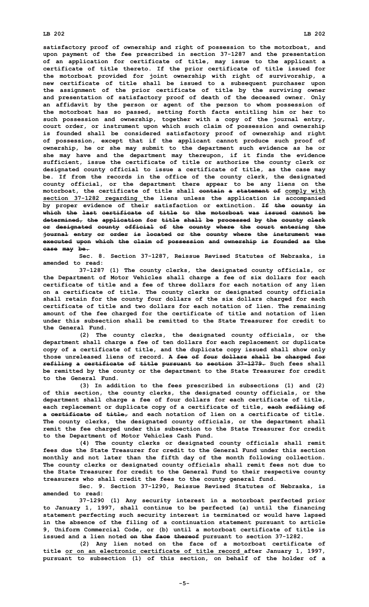## **LB 202 LB 202**

**satisfactory proof of ownership and right of possession to the motorboat, and upon payment of the fee prescribed in section 37-1287 and the presentation of an application for certificate of title, may issue to the applicant <sup>a</sup> certificate of title thereto. If the prior certificate of title issued for the motorboat provided for joint ownership with right of survivorship, <sup>a</sup> new certificate of title shall be issued to <sup>a</sup> subsequent purchaser upon the assignment of the prior certificate of title by the surviving owner and presentation of satisfactory proof of death of the deceased owner. Only an affidavit by the person or agent of the person to whom possession of the motorboat has so passed, setting forth facts entitling him or her to such possession and ownership, together with <sup>a</sup> copy of the journal entry, court order, or instrument upon which such claim of possession and ownership is founded shall be considered satisfactory proof of ownership and right of possession, except that if the applicant cannot produce such proof of ownership, he or she may submit to the department such evidence as he or she may have and the department may thereupon, if it finds the evidence sufficient, issue the certificate of title or authorize the county clerk or designated county official to issue <sup>a</sup> certificate of title, as the case may be. If from the records in the office of the county clerk, the designated county official, or the department there appear to be any liens on the motorboat, the certificate of title shall contain <sup>a</sup> statement of comply with section 37-1282 regarding the liens unless the application is accompanied by proper evidence of their satisfaction or extinction. If the county in which the last certificate of title to the motorboat was issued cannot be determined, the application for title shall be processed by the county clerk or designated county official of the county where the court entering the journal entry or order is located or the county where the instrument was executed upon which the claim of possession and ownership is founded as the case may be.**

**Sec. 8. Section 37-1287, Reissue Revised Statutes of Nebraska, is amended to read:**

**37-1287 (1) The county clerks, the designated county officials, or the Department of Motor Vehicles shall charge <sup>a</sup> fee of six dollars for each certificate of title and <sup>a</sup> fee of three dollars for each notation of any lien on <sup>a</sup> certificate of title. The county clerks or designated county officials shall retain for the county four dollars of the six dollars charged for each certificate of title and two dollars for each notation of lien. The remaining amount of the fee charged for the certificate of title and notation of lien under this subsection shall be remitted to the State Treasurer for credit to the General Fund.**

**(2) The county clerks, the designated county officials, or the department shall charge <sup>a</sup> fee of ten dollars for each replacement or duplicate copy of <sup>a</sup> certificate of title, and the duplicate copy issued shall show only those unreleased liens of record. A fee of four dollars shall be charged for refiling <sup>a</sup> certificate of title pursuant to section 37-1279. Such fees shall be remitted by the county or the department to the State Treasurer for credit to the General Fund.**

**(3) In addition to the fees prescribed in subsections (1) and (2) of this section, the county clerks, the designated county officials, or the department shall charge <sup>a</sup> fee of four dollars for each certificate of title, each replacement or duplicate copy of <sup>a</sup> certificate of title, each refiling of <sup>a</sup> certificate of title, and each notation of lien on <sup>a</sup> certificate of title. The county clerks, the designated county officials, or the department shall remit the fee charged under this subsection to the State Treasurer for credit to the Department of Motor Vehicles Cash Fund.**

**(4) The county clerks or designated county officials shall remit fees due the State Treasurer for credit to the General Fund under this section monthly and not later than the fifth day of the month following collection. The county clerks or designated county officials shall remit fees not due to the State Treasurer for credit to the General Fund to their respective county treasurers who shall credit the fees to the county general fund.**

**Sec. 9. Section 37-1290, Reissue Revised Statutes of Nebraska, is amended to read:**

**37-1290 (1) Any security interest in <sup>a</sup> motorboat perfected prior to January 1, 1997, shall continue to be perfected (a) until the financing statement perfecting such security interest is terminated or would have lapsed in the absence of the filing of <sup>a</sup> continuation statement pursuant to article 9, Uniform Commercial Code, or (b) until <sup>a</sup> motorboat certificate of title is issued and <sup>a</sup> lien noted on the face thereof pursuant to section 37-1282.**

**(2) Any lien noted on the face of <sup>a</sup> motorboat certificate of title or on an electronic certificate of title record after January 1, 1997, pursuant to subsection (1) of this section, on behalf of the holder of <sup>a</sup>**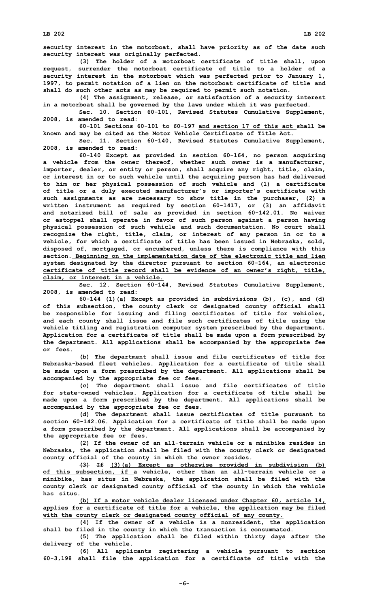**security interest in the motorboat, shall have priority as of the date such security interest was originally perfected.**

**(3) The holder of <sup>a</sup> motorboat certificate of title shall, upon request, surrender the motorboat certificate of title to <sup>a</sup> holder of <sup>a</sup> security interest in the motorboat which was perfected prior to January 1, 1997, to permit notation of <sup>a</sup> lien on the motorboat certificate of title and shall do such other acts as may be required to permit such notation.**

**(4) The assignment, release, or satisfaction of <sup>a</sup> security interest in <sup>a</sup> motorboat shall be governed by the laws under which it was perfected.**

**Sec. 10. Section 60-101, Revised Statutes Cumulative Supplement, 2008, is amended to read:**

**60-101 Sections 60-101 to 60-197 and section 17 of this act shall be known and may be cited as the Motor Vehicle Certificate of Title Act.**

**Sec. 11. Section 60-140, Revised Statutes Cumulative Supplement, 2008, is amended to read:**

**60-140 Except as provided in section 60-164, no person acquiring <sup>a</sup> vehicle from the owner thereof, whether such owner is <sup>a</sup> manufacturer, importer, dealer, or entity or person, shall acquire any right, title, claim, or interest in or to such vehicle until the acquiring person has had delivered to him or her physical possession of such vehicle and (1) <sup>a</sup> certificate of title or <sup>a</sup> duly executed manufacturer's or importer's certificate with such assignments as are necessary to show title in the purchaser, (2) <sup>a</sup> written instrument as required by section 60-1417, or (3) an affidavit and notarized bill of sale as provided in section 60-142.01. No waiver or estoppel shall operate in favor of such person against <sup>a</sup> person having physical possession of such vehicle and such documentation. No court shall recognize the right, title, claim, or interest of any person in or to <sup>a</sup> vehicle, for which <sup>a</sup> certificate of title has been issued in Nebraska, sold, disposed of, mortgaged, or encumbered, unless there is compliance with this section. Beginning on the implementation date of the electronic title and lien system designated by the director pursuant to section 60-164, an electronic certificate of title record shall be evidence of an owner's right, title, claim, or interest in <sup>a</sup> vehicle.**

**Sec. 12. Section 60-144, Revised Statutes Cumulative Supplement, 2008, is amended to read:**

**60-144 (1)(a) Except as provided in subdivisions (b), (c), and (d) of this subsection, the county clerk or designated county official shall be responsible for issuing and filing certificates of title for vehicles, and each county shall issue and file such certificates of title using the vehicle titling and registration computer system prescribed by the department. Application for <sup>a</sup> certificate of title shall be made upon <sup>a</sup> form prescribed by the department. All applications shall be accompanied by the appropriate fee or fees.**

**(b) The department shall issue and file certificates of title for Nebraska-based fleet vehicles. Application for <sup>a</sup> certificate of title shall be made upon <sup>a</sup> form prescribed by the department. All applications shall be accompanied by the appropriate fee or fees.**

**(c) The department shall issue and file certificates of title for state-owned vehicles. Application for <sup>a</sup> certificate of title shall be made upon <sup>a</sup> form prescribed by the department. All applications shall be accompanied by the appropriate fee or fees.**

**(d) The department shall issue certificates of title pursuant to section 60-142.06. Application for <sup>a</sup> certificate of title shall be made upon <sup>a</sup> form prescribed by the department. All applications shall be accompanied by the appropriate fee or fees.**

**(2) If the owner of an all-terrain vehicle or <sup>a</sup> minibike resides in Nebraska, the application shall be filed with the county clerk or designated county official of the county in which the owner resides.**

**(3) If (3)(a) Except as otherwise provided in subdivision (b) of this subsection, if <sup>a</sup> vehicle, other than an all-terrain vehicle or <sup>a</sup> minibike, has situs in Nebraska, the application shall be filed with the county clerk or designated county official of the county in which the vehicle has situs.**

**(b) If <sup>a</sup> motor vehicle dealer licensed under Chapter 60, article 14, applies for <sup>a</sup> certificate of title for <sup>a</sup> vehicle, the application may be filed with the county clerk or designated county official of any county.**

**(4) If the owner of <sup>a</sup> vehicle is <sup>a</sup> nonresident, the application shall be filed in the county in which the transaction is consummated.**

**(5) The application shall be filed within thirty days after the delivery of the vehicle.**

**(6) All applicants registering <sup>a</sup> vehicle pursuant to section 60-3,198 shall file the application for <sup>a</sup> certificate of title with the**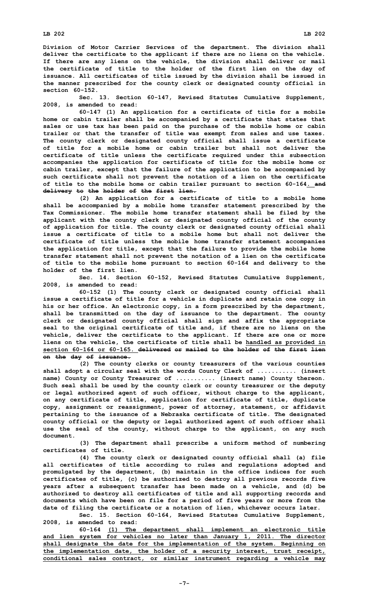**Division of Motor Carrier Services of the department. The division shall deliver the certificate to the applicant if there are no liens on the vehicle. If there are any liens on the vehicle, the division shall deliver or mail the certificate of title to the holder of the first lien on the day of issuance. All certificates of title issued by the division shall be issued in the manner prescribed for the county clerk or designated county official in section 60-152.**

**Sec. 13. Section 60-147, Revised Statutes Cumulative Supplement, 2008, is amended to read:**

**60-147 (1) An application for <sup>a</sup> certificate of title for <sup>a</sup> mobile home or cabin trailer shall be accompanied by <sup>a</sup> certificate that states that sales or use tax has been paid on the purchase of the mobile home or cabin trailer or that the transfer of title was exempt from sales and use taxes. The county clerk or designated county official shall issue <sup>a</sup> certificate of title for a mobile home or cabin trailer but shall not deliver the certificate of title unless the certificate required under this subsection accompanies the application for certificate of title for the mobile home or cabin trailer, except that the failure of the application to be accompanied by such certificate shall not prevent the notation of <sup>a</sup> lien on the certificate of title to the mobile home or cabin trailer pursuant to section 60-164. and delivery to the holder of the first lien.**

**(2) An application for <sup>a</sup> certificate of title to <sup>a</sup> mobile home shall be accompanied by <sup>a</sup> mobile home transfer statement prescribed by the Tax Commissioner. The mobile home transfer statement shall be filed by the applicant with the county clerk or designated county official of the county of application for title. The county clerk or designated county official shall issue a certificate of title to a mobile home but shall not deliver the certificate of title unless the mobile home transfer statement accompanies the application for title, except that the failure to provide the mobile home transfer statement shall not prevent the notation of <sup>a</sup> lien on the certificate of title to the mobile home pursuant to section 60-164 and delivery to the holder of the first lien.**

**Sec. 14. Section 60-152, Revised Statutes Cumulative Supplement, 2008, is amended to read:**

**60-152 (1) The county clerk or designated county official shall issue <sup>a</sup> certificate of title for <sup>a</sup> vehicle in duplicate and retain one copy in his or her office. An electronic copy, in <sup>a</sup> form prescribed by the department, shall be transmitted on the day of issuance to the department. The county clerk or designated county official shall sign and affix the appropriate seal to the original certificate of title and, if there are no liens on the vehicle, deliver the certificate to the applicant. If there are one or more liens on the vehicle, the certificate of title shall be handled as provided in section 60-164 or 60-165. delivered or mailed to the holder of the first lien on the day of issuance.**

**(2) The county clerks or county treasurers of the various counties shall adopt <sup>a</sup> circular seal with the words County Clerk of ........... (insert name) County or County Treasurer of ........... (insert name) County thereon. Such seal shall be used by the county clerk or county treasurer or the deputy or legal authorized agent of such officer, without charge to the applicant, on any certificate of title, application for certificate of title, duplicate copy, assignment or reassignment, power of attorney, statement, or affidavit pertaining to the issuance of <sup>a</sup> Nebraska certificate of title. The designated county official or the deputy or legal authorized agent of such officer shall use the seal of the county, without charge to the applicant, on any such document.**

**(3) The department shall prescribe <sup>a</sup> uniform method of numbering certificates of title.**

**(4) The county clerk or designated county official shall (a) file all certificates of title according to rules and regulations adopted and promulgated by the department, (b) maintain in the office indices for such certificates of title, (c) be authorized to destroy all previous records five years after <sup>a</sup> subsequent transfer has been made on <sup>a</sup> vehicle, and (d) be authorized to destroy all certificates of title and all supporting records and documents which have been on file for <sup>a</sup> period of five years or more from the date of filing the certificate or <sup>a</sup> notation of lien, whichever occurs later.**

**Sec. 15. Section 60-164, Revised Statutes Cumulative Supplement, 2008, is amended to read:**

**60-164 (1) The department shall implement an electronic title and lien system for vehicles no later than January 1, 2011. The director shall designate the date for the implementation of the system. Beginning on the implementation date, the holder of <sup>a</sup> security interest, trust receipt, conditional sales contract, or similar instrument regarding <sup>a</sup> vehicle may**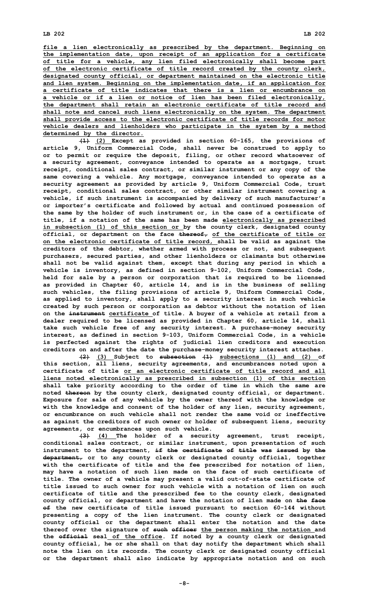**file <sup>a</sup> lien electronically as prescribed by the department. Beginning on the implementation date, upon receipt of an application for <sup>a</sup> certificate of title for <sup>a</sup> vehicle, any lien filed electronically shall become part of the electronic certificate of title record created by the county clerk, designated county official, or department maintained on the electronic title and lien system. Beginning on the implementation date, if an application for a certificate of title indicates that there is a lien or encumbrance on <sup>a</sup> vehicle or if <sup>a</sup> lien or notice of lien has been filed electronically, the department shall retain an electronic certificate of title record and shall note and cancel such liens electronically on the system. The department shall provide access to the electronic certificate of title records for motor vehicle dealers and lienholders who participate in the system by <sup>a</sup> method determined by the director.**

**(1) (2) Except as provided in section 60-165, the provisions of article 9, Uniform Commercial Code, shall never be construed to apply to or to permit or require the deposit, filing, or other record whatsoever of <sup>a</sup> security agreement, conveyance intended to operate as <sup>a</sup> mortgage, trust receipt, conditional sales contract, or similar instrument or any copy of the same covering <sup>a</sup> vehicle. Any mortgage, conveyance intended to operate as <sup>a</sup> security agreement as provided by article 9, Uniform Commercial Code, trust receipt, conditional sales contract, or other similar instrument covering <sup>a</sup> vehicle, if such instrument is accompanied by delivery of such manufacturer's or importer's certificate and followed by actual and continued possession of the same by the holder of such instrument or, in the case of <sup>a</sup> certificate of title, if <sup>a</sup> notation of the same has been made electronically as prescribed in subsection (1) of this section or by the county clerk, designated county official, or department on the face thereof, of the certificate of title or on the electronic certificate of title record, shall be valid as against the creditors of the debtor, whether armed with process or not, and subsequent purchasers, secured parties, and other lienholders or claimants but otherwise shall not be valid against them, except that during any period in which <sup>a</sup> vehicle is inventory, as defined in section 9-102, Uniform Commercial Code, held for sale by <sup>a</sup> person or corporation that is required to be licensed as provided in Chapter 60, article 14, and is in the business of selling such vehicles, the filing provisions of article 9, Uniform Commercial Code, as applied to inventory, shall apply to <sup>a</sup> security interest in such vehicle created by such person or corporation as debtor without the notation of lien on the instrument certificate of title. A buyer of <sup>a</sup> vehicle at retail from <sup>a</sup> dealer required to be licensed as provided in Chapter 60, article 14, shall take such vehicle free of any security interest. A purchase-money security interest, as defined in section 9-103, Uniform Commercial Code, in <sup>a</sup> vehicle is perfected against the rights of judicial lien creditors and execution creditors on and after the date the purchase-money security interest attaches.**

**(2) (3) Subject to subsection (1) subsections (1) and (2) of this section, all liens, security agreements, and encumbrances noted upon <sup>a</sup> certificate of title or an electronic certificate of title record and all liens noted electronically as prescribed in subsection (1) of this section shall take priority according to the order of time in which the same are noted thereon by the county clerk, designated county official, or department. Exposure for sale of any vehicle by the owner thereof with the knowledge or with the knowledge and consent of the holder of any lien, security agreement, or encumbrance on such vehicle shall not render the same void or ineffective as against the creditors of such owner or holder of subsequent liens, security agreements, or encumbrances upon such vehicle.**

**(3) (4) The holder of <sup>a</sup> security agreement, trust receipt, conditional sales contract, or similar instrument, upon presentation of such instrument to the department, if the certificate of title was issued by the department, or to any county clerk or designated county official, together with the certificate of title and the fee prescribed for notation of lien, may have <sup>a</sup> notation of such lien made on the face of such certificate of title. The owner of <sup>a</sup> vehicle may present <sup>a</sup> valid out-of-state certificate of title issued to such owner for such vehicle with a notation of lien on such certificate of title and the prescribed fee to the county clerk, designated county official, or department and have the notation of lien made on the face of the new certificate of title issued pursuant to section 60-144 without presenting <sup>a</sup> copy of the lien instrument. The county clerk or designated county official or the department shall enter the notation and the date thereof over the signature of such officer the person making the notation and the official seal of the office. If noted by <sup>a</sup> county clerk or designated county official, he or she shall on that day notify the department which shall note the lien on its records. The county clerk or designated county official or the department shall also indicate by appropriate notation and on such**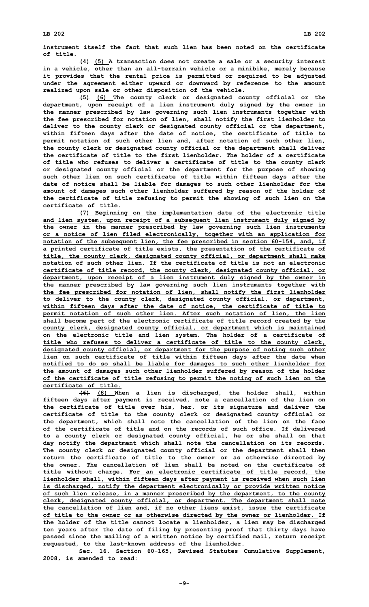**instrument itself the fact that such lien has been noted on the certificate of title.**

**(4) (5) <sup>A</sup> transaction does not create <sup>a</sup> sale or <sup>a</sup> security interest in <sup>a</sup> vehicle, other than an all-terrain vehicle or <sup>a</sup> minibike, merely because it provides that the rental price is permitted or required to be adjusted under the agreement either upward or downward by reference to the amount realized upon sale or other disposition of the vehicle.**

**(5) (6) The county clerk or designated county official or the department, upon receipt of <sup>a</sup> lien instrument duly signed by the owner in the manner prescribed by law governing such lien instruments together with the fee prescribed for notation of lien, shall notify the first lienholder to deliver to the county clerk or designated county official or the department, within fifteen days after the date of notice, the certificate of title to permit notation of such other lien and, after notation of such other lien, the county clerk or designated county official or the department shall deliver the certificate of title to the first lienholder. The holder of a certificate of title who refuses to deliver <sup>a</sup> certificate of title to the county clerk or designated county official or the department for the purpose of showing such other lien on such certificate of title within fifteen days after the date of notice shall be liable for damages to such other lienholder for the amount of damages such other lienholder suffered by reason of the holder of the certificate of title refusing to permit the showing of such lien on the certificate of title.**

**(7) Beginning on the implementation date of the electronic title and lien system, upon receipt of <sup>a</sup> subsequent lien instrument duly signed by the owner in the manner prescribed by law governing such lien instruments or <sup>a</sup> notice of lien filed electronically, together with an application for notation of the subsequent lien, the fee prescribed in section 60-154, and, if <sup>a</sup> printed certificate of title exists, the presentation of the certificate of title, the county clerk, designated county official, or department shall make notation of such other lien. If the certificate of title is not an electronic certificate of title record, the county clerk, designated county official, or department, upon receipt of <sup>a</sup> lien instrument duly signed by the owner in the manner prescribed by law governing such lien instruments together with the fee prescribed for notation of lien, shall notify the first lienholder to deliver to the county clerk, designated county official, or department, within fifteen days after the date of notice, the certificate of title to permit notation of such other lien. After such notation of lien, the lien shall become part of the electronic certificate of title record created by the county clerk, designated county official, or department which is maintained on the electronic title and lien system. The holder of <sup>a</sup> certificate of title who refuses to deliver <sup>a</sup> certificate of title to the county clerk, designated county official, or department for the purpose of noting such other lien on such certificate of title within fifteen days after the date when notified to do so shall be liable for damages to such other lienholder for the amount of damages such other lienholder suffered by reason of the holder of the certificate of title refusing to permit the noting of such lien on the certificate of title.**

**(6) (8) When <sup>a</sup> lien is discharged, the holder shall, within fifteen days after payment is received, note <sup>a</sup> cancellation of the lien on the certificate of title over his, her, or its signature and deliver the certificate of title to the county clerk or designated county official or the department, which shall note the cancellation of the lien on the face of the certificate of title and on the records of such office. If delivered to <sup>a</sup> county clerk or designated county official, he or she shall on that day notify the department which shall note the cancellation on its records. The county clerk or designated county official or the department shall then return the certificate of title to the owner or as otherwise directed by the owner. The cancellation of lien shall be noted on the certificate of title without charge. For an electronic certificate of title record, the lienholder shall, within fifteen days after payment is received when such lien is discharged, notify the department electronically or provide written notice of such lien release, in <sup>a</sup> manner prescribed by the department, to the county clerk, designated county official, or department. The department shall note the cancellation of lien and, if no other liens exist, issue the certificate of title to the owner or as otherwise directed by the owner or lienholder. If the holder of the title cannot locate <sup>a</sup> lienholder, <sup>a</sup> lien may be discharged ten years after the date of filing by presenting proof that thirty days have passed since the mailing of <sup>a</sup> written notice by certified mail, return receipt requested, to the last-known address of the lienholder.**

**Sec. 16. Section 60-165, Revised Statutes Cumulative Supplement, 2008, is amended to read:**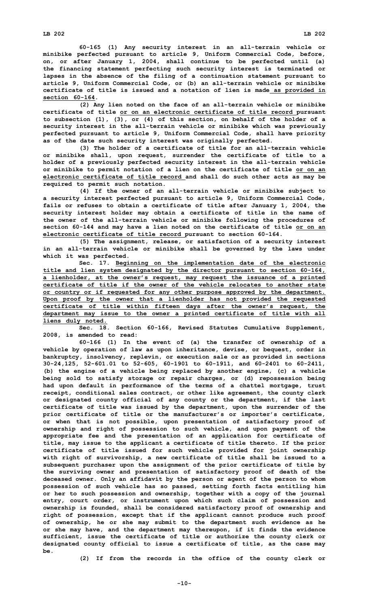**60-165 (1) Any security interest in an all-terrain vehicle or minibike perfected pursuant to article 9, Uniform Commercial Code, before, on, or after January 1, 2004, shall continue to be perfected until (a) the financing statement perfecting such security interest is terminated or lapses in the absence of the filing of <sup>a</sup> continuation statement pursuant to article 9, Uniform Commercial Code, or (b) an all-terrain vehicle or minibike certificate of title is issued and <sup>a</sup> notation of lien is made as provided in section 60-164.**

**(2) Any lien noted on the face of an all-terrain vehicle or minibike certificate of title or on an electronic certificate of title record pursuant to subsection (1), (3), or (4) of this section, on behalf of the holder of <sup>a</sup> security interest in the all-terrain vehicle or minibike which was previously perfected pursuant to article 9, Uniform Commercial Code, shall have priority as of the date such security interest was originally perfected.**

**(3) The holder of <sup>a</sup> certificate of title for an all-terrain vehicle or minibike shall, upon request, surrender the certificate of title to <sup>a</sup> holder of <sup>a</sup> previously perfected security interest in the all-terrain vehicle or minibike to permit notation of <sup>a</sup> lien on the certificate of title or on an electronic certificate of title record and shall do such other acts as may be required to permit such notation.**

**(4) If the owner of an all-terrain vehicle or minibike subject to <sup>a</sup> security interest perfected pursuant to article 9, Uniform Commercial Code, fails or refuses to obtain <sup>a</sup> certificate of title after January 1, 2004, the security interest holder may obtain <sup>a</sup> certificate of title in the name of the owner of the all-terrain vehicle or minibike following the procedures of section 60-144 and may have <sup>a</sup> lien noted on the certificate of title or on an electronic certificate of title record pursuant to section 60-164.**

**(5) The assignment, release, or satisfaction of <sup>a</sup> security interest in an all-terrain vehicle or minibike shall be governed by the laws under which it was perfected.**

**Sec. 17. Beginning on the implementation date of the electronic title and lien system designated by the director pursuant to section 60-164, <sup>a</sup> lienholder, at the owner's request, may request the issuance of <sup>a</sup> printed certificate of title if the owner of the vehicle relocates to another state or country or if requested for any other purpose approved by the department. Upon proof by the owner that <sup>a</sup> lienholder has not provided the requested certificate of title within fifteen days after the owner's request, the department may issue to the owner <sup>a</sup> printed certificate of title with all liens duly noted.**

**Sec. 18. Section 60-166, Revised Statutes Cumulative Supplement, 2008, is amended to read:**

**60-166 (1) In the event of (a) the transfer of ownership of <sup>a</sup> vehicle by operation of law as upon inheritance, devise, or bequest, order in bankruptcy, insolvency, replevin, or execution sale or as provided in sections 30-24,125, 52-601.01 to 52-605, 60-1901 to 60-1911, and 60-2401 to 60-2411, (b) the engine of <sup>a</sup> vehicle being replaced by another engine, (c) <sup>a</sup> vehicle being sold to satisfy storage or repair charges, or (d) repossession being had upon default in performance of the terms of <sup>a</sup> chattel mortgage, trust receipt, conditional sales contract, or other like agreement, the county clerk or designated county official of any county or the department, if the last certificate of title was issued by the department, upon the surrender of the prior certificate of title or the manufacturer's or importer's certificate, or when that is not possible, upon presentation of satisfactory proof of ownership and right of possession to such vehicle, and upon payment of the appropriate fee and the presentation of an application for certificate of title, may issue to the applicant <sup>a</sup> certificate of title thereto. If the prior certificate of title issued for such vehicle provided for joint ownership with right of survivorship, <sup>a</sup> new certificate of title shall be issued to <sup>a</sup> subsequent purchaser upon the assignment of the prior certificate of title by the surviving owner and presentation of satisfactory proof of death of the deceased owner. Only an affidavit by the person or agent of the person to whom possession of such vehicle has so passed, setting forth facts entitling him or her to such possession and ownership, together with <sup>a</sup> copy of the journal entry, court order, or instrument upon which such claim of possession and ownership is founded, shall be considered satisfactory proof of ownership and right of possession, except that if the applicant cannot produce such proof of ownership, he or she may submit to the department such evidence as he or she may have, and the department may thereupon, if it finds the evidence sufficient, issue the certificate of title or authorize the county clerk or designated county official to issue <sup>a</sup> certificate of title, as the case may be.**

**(2) If from the records in the office of the county clerk or**